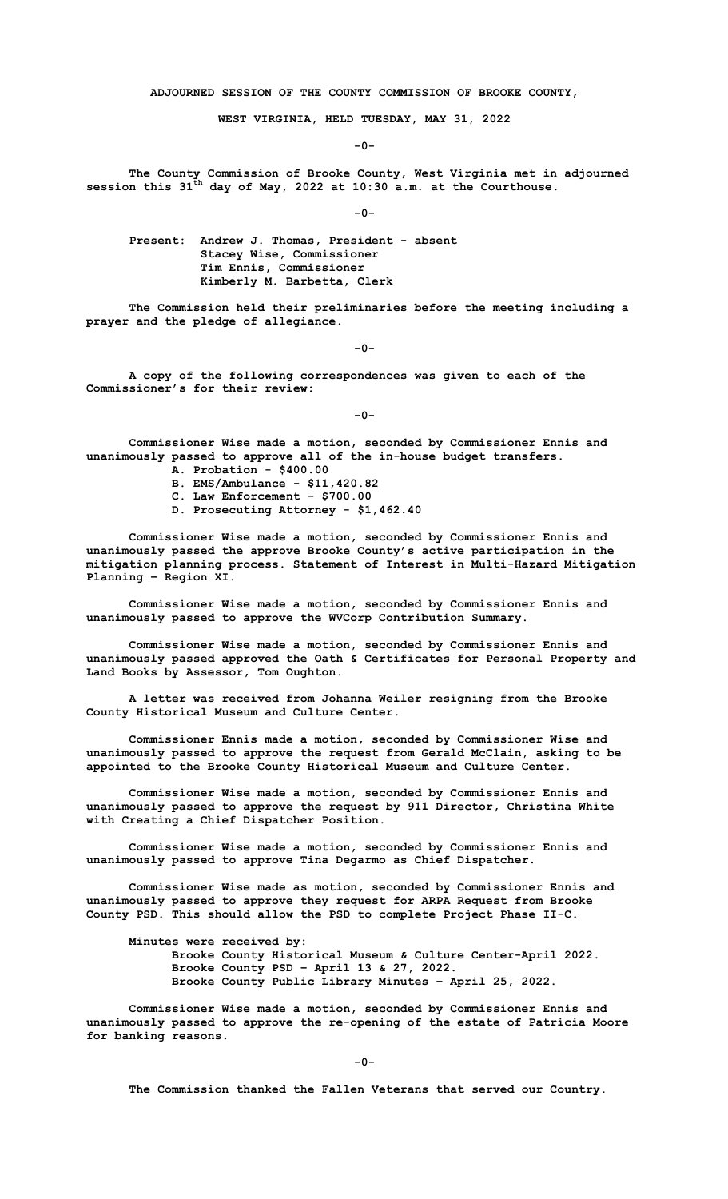**ADJOURNED SESSION OF THE COUNTY COMMISSION OF BROOKE COUNTY,**

**WEST VIRGINIA, HELD TUESDAY, MAY 31, 2022**

**-0-**

**The County Commission of Brooke County, West Virginia met in adjourned session this 31th day of May, 2022 at 10:30 a.m. at the Courthouse.**

**-0-**

**Present: Andrew J. Thomas, President - absent Stacey Wise, Commissioner Tim Ennis, Commissioner Kimberly M. Barbetta, Clerk**

**The Commission held their preliminaries before the meeting including a prayer and the pledge of allegiance.** 

**-0-**

**A copy of the following correspondences was given to each of the Commissioner's for their review:**

**-0-**

**Commissioner Wise made a motion, seconded by Commissioner Ennis and unanimously passed to approve all of the in-house budget transfers.**

- **A. Probation - \$400.00**
- **B. EMS/Ambulance - \$11,420.82**
- **C. Law Enforcement - \$700.00**
- **D. Prosecuting Attorney - \$1,462.40**

**Commissioner Wise made a motion, seconded by Commissioner Ennis and unanimously passed the approve Brooke County's active participation in the mitigation planning process. Statement of Interest in Multi-Hazard Mitigation Planning – Region XI.**

**Commissioner Wise made a motion, seconded by Commissioner Ennis and unanimously passed to approve the WVCorp Contribution Summary.**

**Commissioner Wise made a motion, seconded by Commissioner Ennis and unanimously passed approved the Oath & Certificates for Personal Property and Land Books by Assessor, Tom Oughton.** 

**A letter was received from Johanna Weiler resigning from the Brooke County Historical Museum and Culture Center.**

**Commissioner Ennis made a motion, seconded by Commissioner Wise and unanimously passed to approve the request from Gerald McClain, asking to be appointed to the Brooke County Historical Museum and Culture Center.**

**Commissioner Wise made a motion, seconded by Commissioner Ennis and unanimously passed to approve the request by 911 Director, Christina White with Creating a Chief Dispatcher Position.**

**Commissioner Wise made a motion, seconded by Commissioner Ennis and unanimously passed to approve Tina Degarmo as Chief Dispatcher.** 

**Commissioner Wise made as motion, seconded by Commissioner Ennis and unanimously passed to approve they request for ARPA Request from Brooke County PSD. This should allow the PSD to complete Project Phase II-C.**

**Minutes were received by: Brooke County Historical Museum & Culture Center-April 2022. Brooke County PSD – April 13 & 27, 2022. Brooke County Public Library Minutes – April 25, 2022.**

**Commissioner Wise made a motion, seconded by Commissioner Ennis and unanimously passed to approve the re-opening of the estate of Patricia Moore for banking reasons.** 

**-0-**

**The Commission thanked the Fallen Veterans that served our Country.**